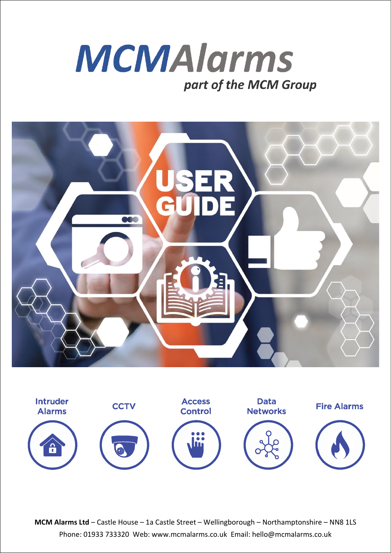





**MCM Alarms Ltd** – Castle House – 1a Castle Street – Wellingborough – Northamptonshire – NN8 1LS Phone: 01933 733320 Web: www.mcmalarms.co.uk Email: hello@mcmalarms.co.uk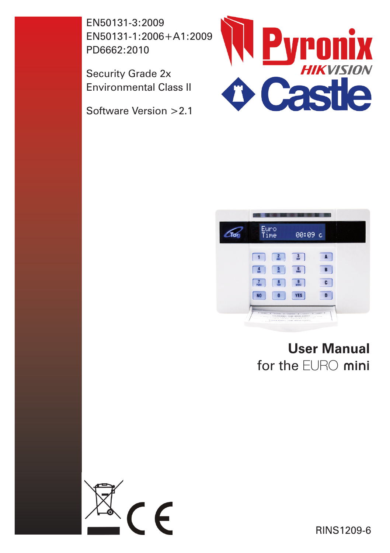EN50131-3:2009 EN50131-1:2006+A1:2009 PD6662:2010

Security Grade 2x Environmental Class II

Software Version >2.1





# **User Manual** for the EURO mini



RINS1209-6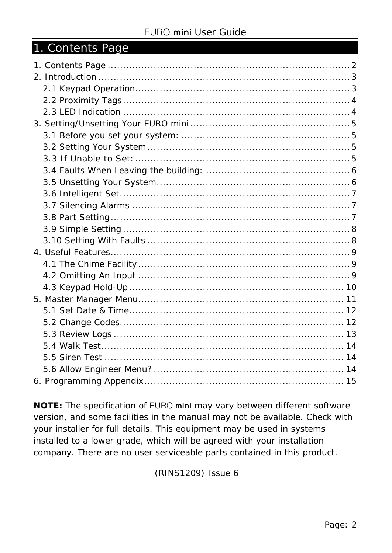| 1. Contents Page |  |
|------------------|--|
|                  |  |
|                  |  |
|                  |  |
|                  |  |
|                  |  |
|                  |  |
|                  |  |
|                  |  |
|                  |  |
|                  |  |
|                  |  |
|                  |  |
|                  |  |
|                  |  |
|                  |  |
|                  |  |
|                  |  |
|                  |  |
|                  |  |
|                  |  |
|                  |  |
|                  |  |
|                  |  |
|                  |  |
|                  |  |
|                  |  |
|                  |  |
|                  |  |

**NOTE:** The specification of EURO mini may vary between different software version, and some facilities in the manual may not be available. Check with your installer for full details. This equipment may be used in systems installed to a lower grade, which will be agreed with your installation company. There are no user serviceable parts contained in this product.

(RINS1209) Issue 6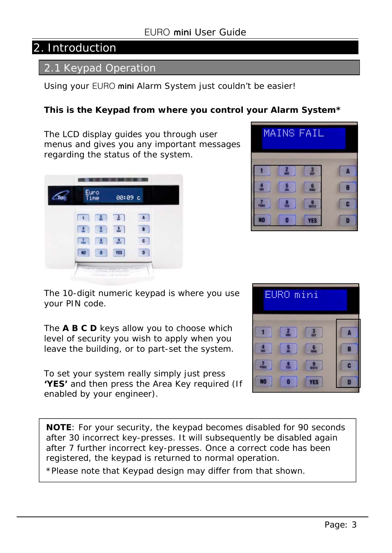# 2. Introduction

#### 2.1 Keypad Operation

Using your EURO mini Alarm System just couldn't be easier!

#### **This is the Keypad from where you control your Alarm System\***

The LCD display guides you through user menus and gives you any important messages regarding the status of the system.

| Euro<br>Time    | 00:09 c         |   |
|-----------------|-----------------|---|
|                 |                 |   |
|                 |                 | B |
|                 | $\frac{9}{100}$ | G |
| NO <sub>1</sub> | <b>YES</b>      | n |

| MA | I<br>NS | I<br>F<br>♦<br>A |   |
|----|---------|------------------|---|
|    |         |                  |   |
|    |         |                  | B |
|    |         | TETZ             | c |
| NO |         | <b>YES</b>       | D |

The 10-digit numeric keypad is where you use your PIN code.

The **A B C D** keys allow you to choose which level of security you wish to apply when you leave the building, or to part-set the system.

To set your system really simply just press **'YES'** and then press the Area Key required (If enabled by your engineer).



**NOTE**: For your security, the keypad becomes disabled for 90 seconds after 30 incorrect key-presses. It will subsequently be disabled again after 7 further incorrect key-presses. Once a correct code has been registered, the keypad is returned to normal operation.

\*Please note that Keypad design may differ from that shown.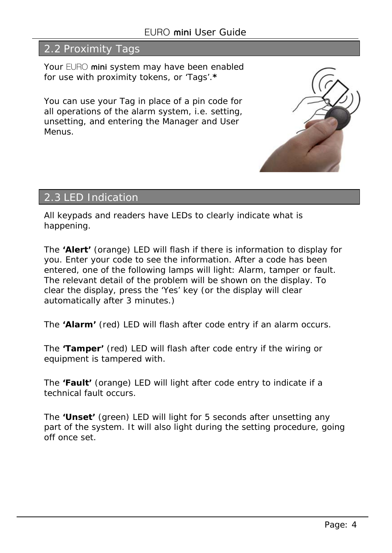## 2.2 Proximity Tags

Your EURO mini system may have been enabled for use with proximity tokens, or 'Tags'.**\*** 

You can use your Tag in place of a pin code for all operations of the alarm system, i.e. setting, unsetting, and entering the Manager and User Menus.



## 2.3 LED Indication

All keypads and readers have LEDs to clearly indicate what is happening.

The **'Alert'** (orange) LED will flash if there is information to display for you. Enter your code to see the information. After a code has been entered, one of the following lamps will light: Alarm, tamper or fault. The relevant detail of the problem will be shown on the display. To clear the display, press the 'Yes' key (or the display will clear automatically after 3 minutes.)

The **'Alarm'** (red) LED will flash after code entry if an alarm occurs.

The **'Tamper'** (red) LED will flash after code entry if the wiring or equipment is tampered with.

The **'Fault'** (orange) LED will light after code entry to indicate if a technical fault occurs.

The **'Unset'** (green) LED will light for 5 seconds after unsetting any part of the system. It will also light during the setting procedure, going off once set.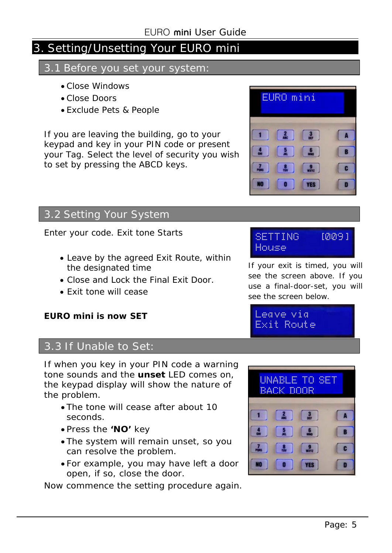# 3. Setting/Unsetting Your EURO mini

#### 3.1 Before you set your system:

- Close Windows
- Close Doors
- Exclude Pets & People

If you are leaving the building, go to your keypad and key in your PIN code or present your Tag. Select the level of security you wish to set by pressing the ABCD keys.



### 3.2 Setting Your System

Enter your code. Exit tone Starts

- Leave by the agreed Exit Route, within the designated time
- Close and Lock the Final Exit Door.
- Exit tone will cease

#### **EURO mini is now SET**

#### 3.3 If Unable to Set:

If when you key in your PIN code a warning tone sounds and the **unset** LED comes on, the keypad display will show the nature of the problem.

- The tone will cease after about 10 seconds.
- Press the **'NO'** key
- The system will remain unset, so you can resolve the problem.
- For example, you may have left a door open, if so, close the door.

Now commence the setting procedure again.

#### SETTING [009] House

If your exit is timed, you will see the screen above. If you use a final-door-set, you will see the screen below.

Leave via Exit Route

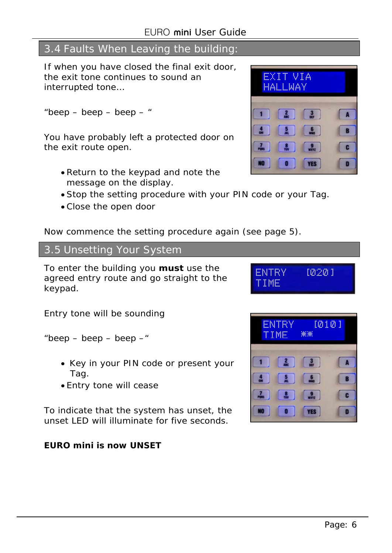# 3.4 Faults When Leaving the building:

If when you have closed the final exit door, the exit tone continues to sound an interrupted tone…

"beep – beep – beep – "

You have probably left a protected door on the exit route open.

- Return to the keypad and note the message on the display.
- Stop the setting procedure with your PIN code or your Tag.
- Close the open door

Now commence the setting procedure again (see page 5).

#### 3.5 Unsetting Your System

To enter the building you **must** use the agreed entry route and go straight to the keypad.

Entry tone will be sounding

"beep  $-$  beep  $-$  beep  $-$ "

- Key in your PIN code or present your Tag.
- Entry tone will cease

To indicate that the system has unset, the unset LED will illuminate for five seconds.

#### **EURO mini is now UNSET**

![](_page_6_Picture_19.jpeg)

![](_page_6_Picture_20.jpeg)

![](_page_6_Picture_21.jpeg)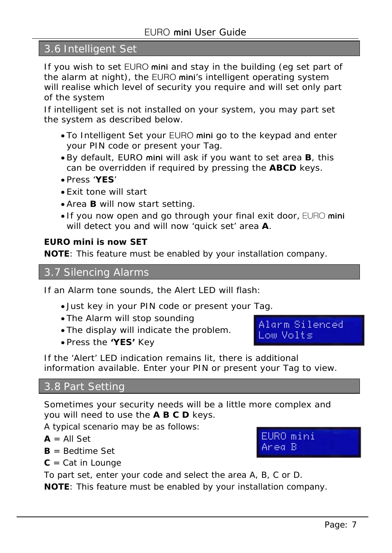## 3.6 Intelligent Set

If you wish to set EURO mini and stay in the building (eg set part of the alarm at night), the EURO mini's intelligent operating system will realise which level of security you require and will set only part of the system

If intelligent set is not installed on your system, you may part set the system as described below.

- To Intelligent Set your EURO mini go to the keypad and enter your PIN code or present your Tag.
- By default, EURO mini will ask if you want to set area **B**, this can be overridden if required by pressing the **ABCD** keys.
- Press '**YES**'
- Exit tone will start
- Area **B** will now start setting.
- If you now open and go through your final exit door, EURO mini will detect you and will now 'quick set' area **A**.

#### **EURO mini is now SET**

**NOTE**: This feature must be enabled by your installation company.

3.7 Silencing Alarms

If an Alarm tone sounds, the Alert LED will flash:

- Just key in your PIN code or present your Tag.
- The Alarm will stop sounding
- The display will indicate the problem.
- Press the **'YES'** Key

Alarm Silenced Low Volts

EURO mini Area B

If the 'Alert' LED indication remains lit, there is additional information available. Enter your PIN or present your Tag to view.

#### 3.8 Part Setting

Sometimes your security needs will be a little more complex and you will need to use the **A B C D** keys.

A typical scenario may be as follows:

 $A = All Set$ 

- **B** = Bedtime Set
- **C** = Cat in Lounge

To part set, enter your code and select the area A, B, C or D.

**NOTE**: This feature must be enabled by your installation company.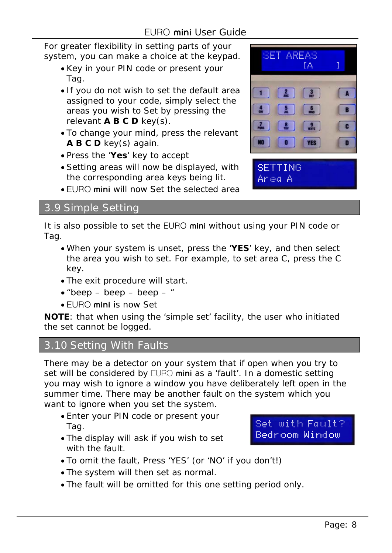For greater flexibility in setting parts of your system, you can make a choice at the keypad.

- Key in your PIN code or present your Tag.
- If you do not wish to set the default area assigned to your code, simply select the areas you wish to Set by pressing the relevant **A B C D** key(s).
- To change your mind, press the relevant **A B C D** key(s) again.
- Press the '**Yes**' key to accept
- Setting areas will now be displayed, with the corresponding area keys being lit.
- EURO mini will now Set the selected area

![](_page_8_Picture_8.jpeg)

It is also possible to set the EURO mini without using your PIN code or Tag.

- When your system is unset, press the '**YES**' key, and then select the area you wish to set. For example, to set area C, press the C key.
- The exit procedure will start.
- $\bullet$  "beep beep beep "
- EURO mini is now Set

**NOTE**: that when using the 'simple set' facility, the user who initiated the set cannot be logged.

### 3.10 Setting With Faults

There may be a detector on your system that if open when you try to set will be considered by EURO mini as a 'fault'. In a domestic setting you may wish to ignore a window you have deliberately left open in the summer time. There may be another fault on the system which you want to ignore when you set the system.

- Enter your PIN code or present your Tag.
- The display will ask if you wish to set with the fault.

Set with Fault? Bedroom Window

- To omit the fault, Press 'YES' (or 'NO' if you don't!)
- The system will then set as normal.
- The fault will be omitted for this one setting period only.

![](_page_8_Picture_24.jpeg)

Area A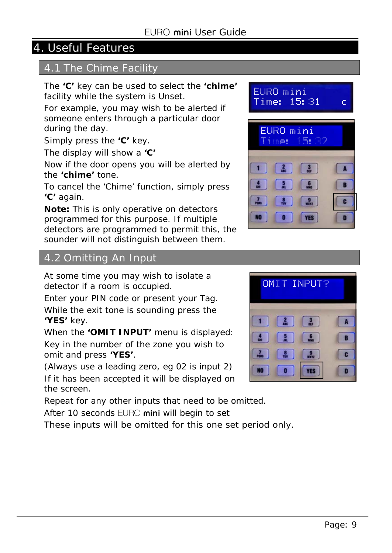# 4. Useful Features

### 4.1 The Chime Facility

The **'C'** key can be used to select the **'chime'** facility while the system is Unset.

For example, you may wish to be alerted if someone enters through a particular door during the day.

Simply press the **'C'** key.

The display will show a **'C'** 

Now if the door opens you will be alerted by the **'chime'** tone.

To cancel the 'Chime' function, simply press **'C'** again.

**Note:** This is only operative on detectors programmed for this purpose. If multiple detectors are programmed to permit this, the sounder will not distinguish between them.

![](_page_9_Picture_10.jpeg)

#### 4.2 Omitting An Input

At some time you may wish to isolate a detector if a room is occupied.

Enter your PIN code or present your Tag. While the exit tone is sounding press the **'YES'** key.

When the **'OMIT INPUT'** menu is displayed: Key in the number of the zone you wish to omit and press **'YES'**.

(Always use a leading zero, eg 02 is input 2) If it has been accepted it will be displayed on the screen.

Repeat for any other inputs that need to be omitted.

After 10 seconds EURO mini will begin to set

These inputs will be omitted for this one set period only.

![](_page_9_Picture_19.jpeg)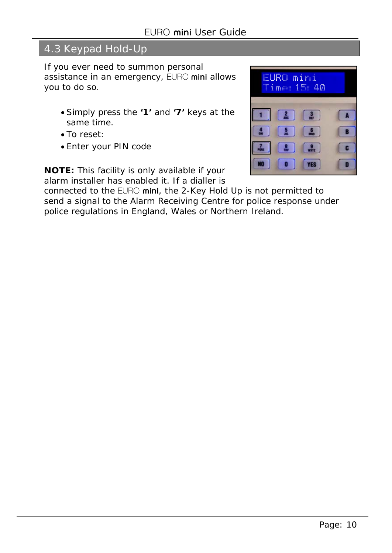# 4.3 Keypad Hold-Up

If you ever need to summon personal assistance in an emergency, EURO mini allows you to do so.

- Simply press the **'1'** and **'7'** keys at the same time.
- To reset:
- Enter your PIN code

![](_page_10_Picture_6.jpeg)

**NOTE:** This facility is only available if your alarm installer has enabled it. If a dialler is

connected to the EURO mini, the 2-Key Hold Up is not permitted to send a signal to the Alarm Receiving Centre for police response under police regulations in England, Wales or Northern Ireland.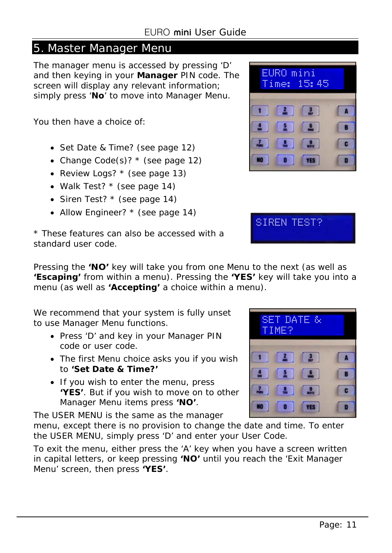#### 5. Master Manager Menu

The manager menu is accessed by pressing 'D' and then keying in your **Manager** PIN code. The screen will display any relevant information; simply press '**No**' to move into Manager Menu.

You then have a choice of:

- Set Date & Time? (see page 12)
- Change Code(s)?  $*$  (see page 12)
- Review Logs? \* (see page 13)
- Walk Test? \* (see page 14)
- Siren Test? \* (see page 14)
- Allow Engineer? \* (see page 14)

![](_page_11_Picture_10.jpeg)

SIREN TEST?

\* These features can also be accessed with a standard user code.

Pressing the **'NO'** key will take you from one Menu to the next (as well as **'Escaping'** from within a menu). Pressing the **'YES'** key will take you into a menu (as well as **'Accepting'** a choice within a menu).

We recommend that your system is fully unset to use Manager Menu functions.

- Press 'D' and key in your Manager PIN code or user code.
- The first Menu choice asks you if you wish to **'Set Date & Time?'**
- If you wish to enter the menu, press **'YES'**. But if you wish to move on to other Manager Menu items press **'NO'**.

The USER MENU is the same as the manager

menu, except there is no provision to change the date and time. To enter the USER MENU, simply press 'D' and enter your User Code.

To exit the menu, either press the 'A' key when you have a screen written in capital letters, or keep pressing **'NO'** until you reach the 'Exit Manager Menu' screen, then press **'YES'**.

![](_page_11_Picture_21.jpeg)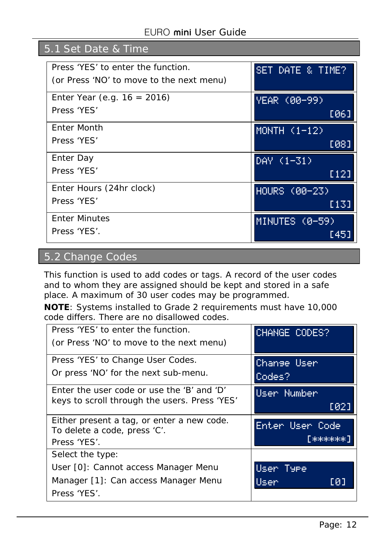# 5.1 Set Date & Time

| Press 'YES' to enter the function.       | SET DATE & TIME? |
|------------------------------------------|------------------|
| (or Press 'NO' to move to the next menu) |                  |
| Enter Year (e.g. $16 = 2016$ )           | YEAR (00-99)     |
| Press 'YES'                              | [06]             |
| Enter Month                              | MONTH $(1-12)$   |
| Press 'YES'                              | [08]             |
| Enter Day                                | DAY (1-31)       |
| Press 'YES'                              | [12]             |
| Enter Hours (24hr clock)                 | HOURS (00-23)    |
| Press 'YES'                              | [13]             |
| <b>Enter Minutes</b>                     | MINUTES (0-59)   |
| Press 'YES'.                             | [45]             |

# 5.2 Change Codes

This function is used to add codes or tags. A record of the user codes and to whom they are assigned should be kept and stored in a safe place. A maximum of 30 user codes may be programmed.

**NOTE**: Systems installed to Grade 2 requirements must have 10,000 code differs. There are no disallowed codes.

| Press 'YES' to enter the function.<br>(or Press 'NO' to move to the next menu) | CHANGE CODES?   |
|--------------------------------------------------------------------------------|-----------------|
| Press 'YES' to Change User Codes.                                              | Change User     |
| Or press 'NO' for the next sub-menu.                                           | Codes?          |
| Enter the user code or use the 'B' and 'D'                                     | User Number     |
| keys to scroll through the users. Press 'YES'                                  | [02]            |
| Either present a tag, or enter a new code.                                     | Enter User Code |
| To delete a code, press 'C'.<br>Press 'YES'.                                   | ГжжжжжжЛ        |
| Select the type:                                                               |                 |
| User [0]: Cannot access Manager Menu                                           | User Type       |
| Manager [1]: Can access Manager Menu                                           | Usen<br>[0]     |
| Press 'YES'.                                                                   |                 |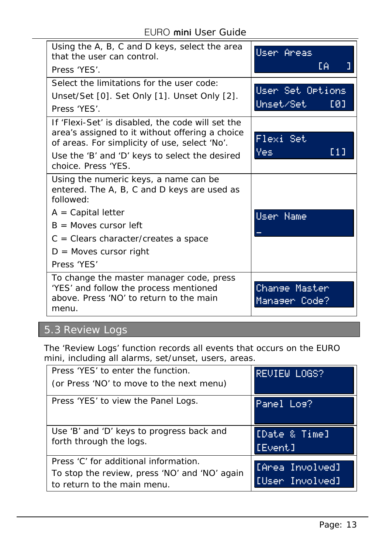EURO mini User Guide

| Using the A, B, C and D keys, select the area<br>that the user can control.<br>Press 'YFS'.                                                                                                                                               | User Areas<br>EΑ                     |
|-------------------------------------------------------------------------------------------------------------------------------------------------------------------------------------------------------------------------------------------|--------------------------------------|
| Select the limitations for the user code:<br>Unset/Set [0]. Set Only [1]. Unset Only [2].<br>Press 'YES'.                                                                                                                                 | User Set Ortions<br>Unset/Set<br>[0] |
| If 'Flexi-Set' is disabled, the code will set the<br>area's assigned to it without offering a choice<br>of areas. For simplicity of use, select 'No'.<br>Use the 'B' and 'D' keys to select the desired<br>choice. Press 'YES.            | Flexi Set<br><b>Yes</b><br>E 1 J     |
| Using the numeric keys, a name can be<br>entered. The A, B, C and D keys are used as<br>followed:<br>$A = Capital letter$<br>$B =$ Moves cursor left<br>$C =$ Clears character/creates a space<br>$D =$ Moves cursor right<br>Press 'YES' | User Name                            |
| To change the master manager code, press<br>'YES' and follow the process mentioned<br>above. Press 'NO' to return to the main<br>menu.                                                                                                    | Change Master<br>Manager Code?       |

# 5.3 Review Logs

The 'Review Logs' function records all events that occurs on the EURO mini, including all alarms, set/unset, users, areas.

| Press 'YES' to enter the function.            | <b>REVIEW LOGS?</b> |
|-----------------------------------------------|---------------------|
| (or Press 'NO' to move to the next menu)      |                     |
| Press 'YES' to view the Panel Logs.           | Panel Los?          |
| Use 'B' and 'D' keys to progress back and     | [Date & Time]       |
| forth through the logs.                       | [Event]             |
| Press 'C' for additional information.         | [fArea Involved]    |
| To stop the review, press 'NO' and 'NO' again |                     |
| to return to the main menu.                   | [User Involved]     |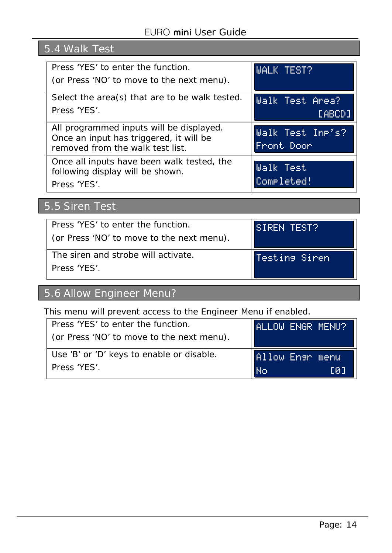# 5.4 Walk Test

| Press 'YES' to enter the function.<br>(or Press 'NO' to move to the next menu).                                         | <b>WALK TEST?</b>              |
|-------------------------------------------------------------------------------------------------------------------------|--------------------------------|
| Select the area(s) that are to be walk tested.<br>Press 'YES'.                                                          | Walk Test Area?<br>[ABCD]      |
| All programmed inputs will be displayed.<br>Once an input has triggered, it will be<br>removed from the walk test list. | Walk Test Inp's?<br>Front Door |
| Once all inputs have been walk tested, the<br>following display will be shown.<br>Press 'YES'.                          | Walk Test<br>Completed!        |

# 5.5 Siren Test

| Press 'YES' to enter the function.        | SIREN TEST?    |
|-------------------------------------------|----------------|
| (or Press 'NO' to move to the next menu). |                |
| l The siren and strobe will activate.     | Testing Siren. |
| Press 'YFS'                               |                |

# 5.6 Allow Engineer Menu?

This menu will prevent access to the Engineer Menu if enabled.

| Press 'YES' to enter the function.        | ALLOW ENGR MENU? |
|-------------------------------------------|------------------|
| (or Press 'NO' to move to the next menu). |                  |
|                                           |                  |
| Use 'B' or 'D' keys to enable or disable. | Allow Ensr menu  |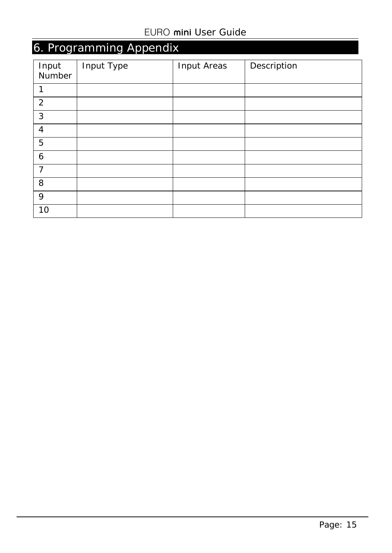# 6. Programming Appendix

| Input<br>Number | Input Type | Input Areas | Description |
|-----------------|------------|-------------|-------------|
| 1               |            |             |             |
| $\overline{2}$  |            |             |             |
| $\mathbf{3}$    |            |             |             |
| 4               |            |             |             |
| 5               |            |             |             |
| 6               |            |             |             |
| $\overline{7}$  |            |             |             |
| 8               |            |             |             |
| 9               |            |             |             |
| 10              |            |             |             |